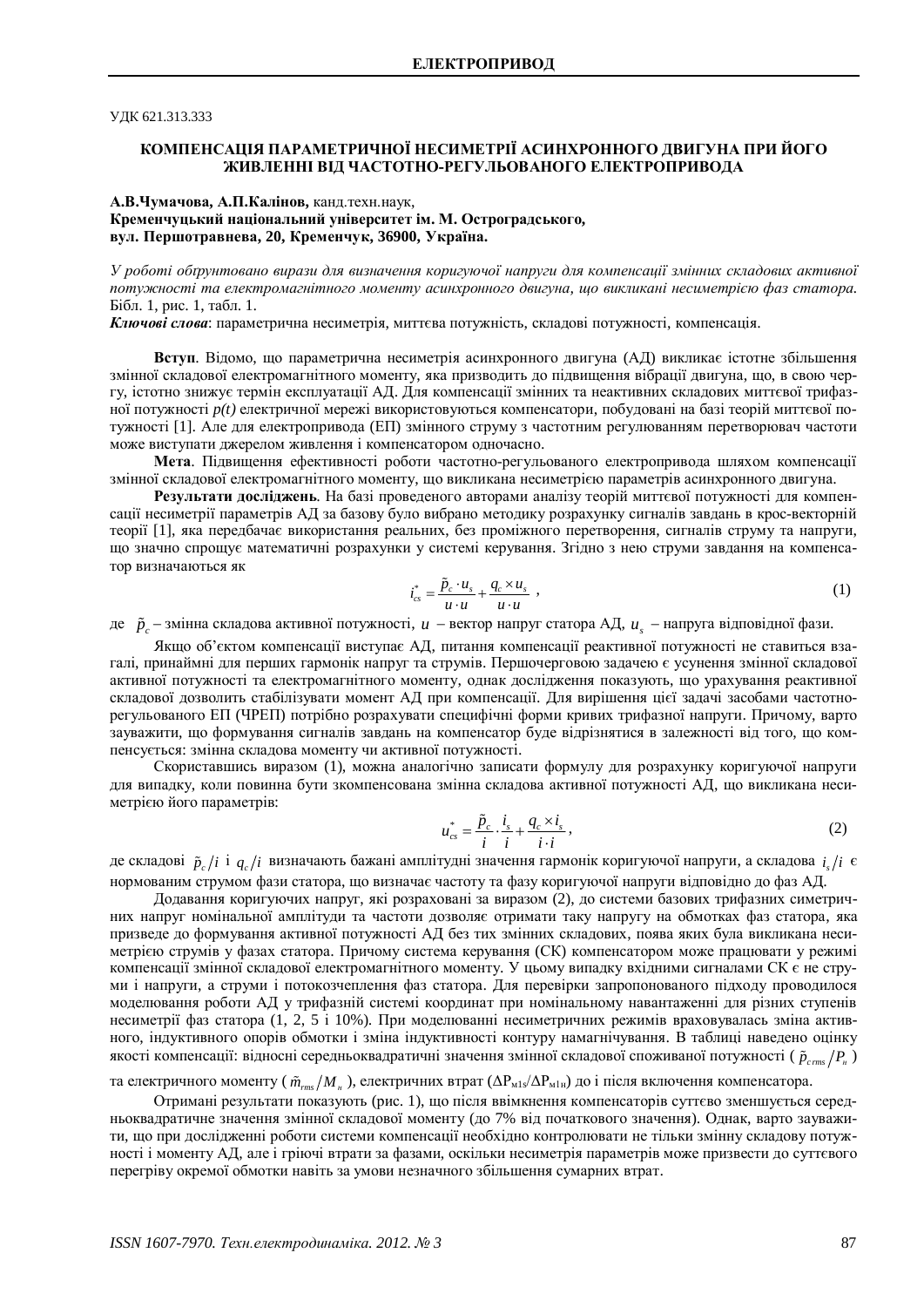# ɍȾɄ 621.313.333

# КОМПЕНСАШЯ ПАРАМЕТРИЧНОЇ НЕСИМЕТРІЇ АСИНХРОННОГО ЛВИГУНА ПРИ ЙОГО ЖИВЛЕННІ ВІД ЧАСТОТНО-РЕГУЛЬОВАНОГО ЕЛЕКТРОПРИВОДА

# А.В.Чумачова, А.П.Калінов, канд.техн.наук, Кременчуцький національний університет ім. М. Остроградського,  $B$ ул. Першотравнева, 20, Кременчук, 36900, Україна.

У роботі обґрунтовано вирази для визначення коригуючої напруги для компенсації змінних складових активної потужності та електромагнітного моменту асинхронного двигуна, шо викликані несиметрією фаз статора. Бібл. 1, рис. 1, табл. 1.

Ключові слова: параметрична несиметрія, миттєва потужність, складові потужності, компенсація.

**Вступ**. Відомо, що параметрична несиметрія асинхронного двигуна (АД) викликає істотне збільшення змінної складової електромагнітного моменту, яка призводить до підвищення вібрації двигуна, що, в свою чергу, істотно знижує термін експлуатації АД. Для компенсації змінних та неактивних складових миттєвої трифазної потужності *p(t)* електричної мережі використовуються компенсатори, побудовані на базі теорій миттєвої потужності [1]. Але для електропривода (ЕП) змінного струму з частотним регулюванням перетворювач частоти може виступати джерелом живлення і компенсатором одночасно.

**Мета**. Підвищення ефективності роботи частотно-регульованого електропривода шляхом компенсації змінної складової електромагнітного моменту, що викликана несиметрією параметрів асинхронного двигуна.

Результати досліджень. На базі проведеного авторами аналізу теорій миттєвої потужності для компенсації несиметрії параметрів АД за базову було вибрано методику розрахунку сигналів завдань в крос-векторній теорії [1], яка передбачає використання реальних, без проміжного перетворення, сигналів струму та напруги, що значно спрощує математичні розрахунки у системі керування. Згідно з нею струми завдання на компенсатор визначаються як

$$
i_{cs}^* = \frac{\tilde{p}_c \cdot u_s}{u \cdot u} + \frac{q_c \times u_s}{u \cdot u} \tag{1}
$$

де  $\tilde{p}_c$  – змінна складова активної потужності, *и* – вектор напруг статора АД, *и*<sub>s</sub> – напруга відповідної фази.

Якщо об'єктом компенсації виступає АД, питання компенсації реактивної потужності не ставиться взагалі, принаймні для перших гармонік напруг та струмів. Першочерговою задачею є усунення змінної складової активної потужності та електромагнітного моменту, однак дослідження показують, що урахування реактивної складової дозволить стабілізувати момент АД при компенсації. Для вирішення цієї задачі засобами частотнорегульованого ЕП (ЧРЕП) потрібно розрахувати специфічні форми кривих трифазної напруги. Причому, варто зауважити, що формування сигналів завдань на компенсатор буде відрізнятися в залежності від того, що компенсується: змінна складова моменту чи активної потужності.

Скориставшись виразом (1), можна аналогічно записати формулу для розрахунку коригуючої напруги для випалку, коли повинна бути зкомпенсована змінна склалова активної потужності АЛ, що викликана неси-Merpicio його параметрів:

$$
u_{cs}^* = \frac{\tilde{p}_c}{i} \cdot \frac{i_s}{i} + \frac{q_c \times i_s}{i \cdot i},
$$
\n(2)

де складові  $\,\tilde{p}_c/i\,$ і  $q_c/i\,$ визначають бажані амплітудні значення гармонік коригуючої напруги, а складова  $\,i_s/i\,$ є нормованим струмом фази статора, що визначає частоту та фазу коригуючої напруги відповідно до фаз АД.

Додавання коригуючих напруг, які розраховані за виразом (2), до системи базових трифазних симетричних напруг номінальної амплітуди та частоти дозволяє отримати таку напругу на обмотках фаз статора, яка призведе до формування активної потужності АД без тих змінних складових, поява яких була викликана несиметрією струмів у фазах статора. Причому система керування (СК) компенсатором може працювати у режимі компенсації змінної складової електромагнітного моменту. У цьому випадку вхідними сигналами СК є не струми і напруги, а струми і потокозчеплення фаз статора. Для перевірки запропонованого підходу проводилося моделювання роботи АД у трифазній системі координат при номінальному навантаженні для різних ступенів несиметрії фаз статора (1, 2, 5 і 10%). При моделюванні несиметричних режимів враховувалась зміна активного, індуктивного опорів обмотки і зміна індуктивності контуру намагнічування. В таблиці наведено оцінку якості компенсації: відносні середньоквадратичні значення змінної складової споживаної потужності (  $\tilde{p}_{\mathit{cms}}/P_{\scriptscriptstyle \!\pi}$  )

та електричного моменту (  $\tilde{m}_{\rm rms}/M$  " ), електричних втрат (ΔP<sub>м1s</sub>/ΔP<sub>м1н</sub>) до і після включення компенсатора.

Отримані результати показують (рис. 1), що після ввімкнення компенсаторів суттєво зменшується середньоквадратичне значення змінної складової моменту (до 7% від початкового значення). Однак, варто зауважити, що при дослідженні роботи системи компенсації необхідно контролювати не тільки змінну складову потужності і моменту АД, але і гріючі втрати за фазами, оскільки несиметрія параметрів може призвести до суттєвого перегріву окремої обмотки навіть за умови незначного збільшення сумарних втрат.